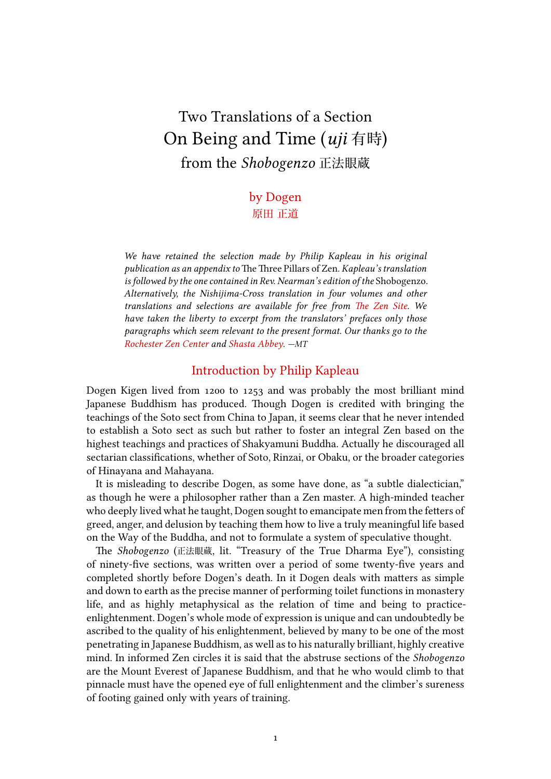# Two Translations of a Section On Being and Time (*uji* 有時) from the *Shobogenzo* 正法眼蔵

### by Dogen 原田 正道

*We have retained the selection made by Philip Kapleau in his original publication as an appendix to* The Three Pillars of Zen*. Kapleau's translation is followed by the one contained in Rev. Nearman's edition of the* Shobogenzo*. Alternatively, the Nishijima-Cross translation in four volumes and other translations and selections are available for free from The Zen Site. We have taken the liberty to excerpt from the translators' prefaces only those paragraphs which seem relevant to the present format. Our thanks go to the Rochester Zen Center and Shasta Abbey. —MT*

#### Introduction by Philip Kapleau

Dogen [Kigen lived from 1](http://www.rzc.org)200 [to 1253 and](http://www.shastaabbey.org) was probably the most brilliant mind Japanese Buddhism has produced. Though Dogen is credited with bringing the teachings of the Soto sect from China to Japan, it seems clear that he never intended to establish a Soto sect as such but rather to foster an integral Zen based on the highest teachings and practices of Shakyamuni Buddha. Actually he discouraged all sectarian classifications, whether of Soto, Rinzai, or Obaku, or the broader categories of Hinayana and Mahayana.

It is misleading to describe Dogen, as some have done, as "a subtle dialectician," as though he were a philosopher rather than a Zen master. A high-minded teacher who deeply lived what he taught, Dogen sought to emancipate men from the fetters of greed, anger, and delusion by teaching them how to live a truly meaningful life based on the Way of the Buddha, and not to formulate a system of speculative thought.

The *Shobogenzo* (正法眼蔵, lit. "Treasury of the True Dharma Eye"), consisting of ninety-five sections, was written over a period of some twenty-five years and completed shortly before Dogen's death. In it Dogen deals with matters as simple and down to earth as the precise manner of performing toilet functions in monastery life, and as highly metaphysical as the relation of time and being to practiceenlightenment. Dogen's whole mode of expression is unique and can undoubtedly be ascribed to the quality of his enlightenment, believed by many to be one of the most penetrating in Japanese Buddhism, as well as to his naturally brilliant, highly creative mind. In informed Zen circles it is said that the abstruse sections of the *Shobogenzo* are the Mount Everest of Japanese Buddhism, and that he who would climb to that pinnacle must have the opened eye of full enlightenment and the climber's sureness of footing gained only with years of training.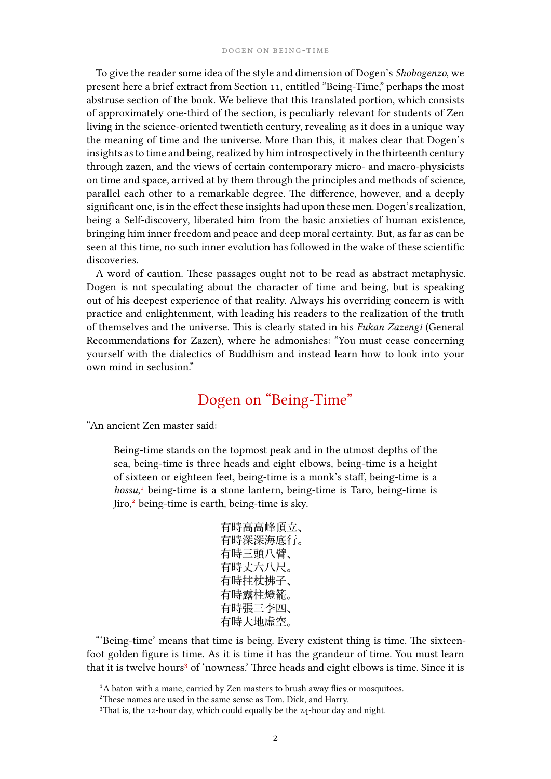To give the reader some idea of the style and dimension of Dogen's *Shobogenzo*, we present here a brief extract from Section 11, entitled "Being-Time," perhaps the most abstruse section of the book. We believe that this translated portion, which consists of approximately one-third of the section, is peculiarly relevant for students of Zen living in the science-oriented twentieth century, revealing as it does in a unique way the meaning of time and the universe. More than this, it makes clear that Dogen's insights as to time and being, realized by him introspectively in the thirteenth century through zazen, and the views of certain contemporary micro- and macro-physicists on time and space, arrived at by them through the principles and methods of science, parallel each other to a remarkable degree. The difference, however, and a deeply significant one, is in the effect these insights had upon these men. Dogen's realization, being a Self-discovery, liberated him from the basic anxieties of human existence, bringing him inner freedom and peace and deep moral certainty. But, as far as can be seen at this time, no such inner evolution has followed in the wake of these scientific discoveries.

A word of caution. These passages ought not to be read as abstract metaphysic. Dogen is not speculating about the character of time and being, but is speaking out of his deepest experience of that reality. Always his overriding concern is with practice and enlightenment, with leading his readers to the realization of the truth of themselves and the universe. This is clearly stated in his *Fukan Zazengi* (General Recommendations for Zazen), where he admonishes: "You must cease concerning yourself with the dialectics of Buddhism and instead learn how to look into your own mind in seclusion."

## Dogen on "Being-Time"

"An ancient Zen master said:

Being-time stands on the topmost peak and in the utmost depths of the sea, being-time is three heads and eight elbows, being-time is a height of sixteen or eighteen feet, being-time is a monk's staff, being-time is a *hossu*, <sup>1</sup> being-time is a stone lantern, being-time is Taro, being-time is Jiro,<sup>2</sup> being-time is earth, being-time is sky.

> 有時高高峰頂立、 有時深深海底行。 有時三頭八臂、 有時丈六八尺。 有時拄杖拂子、 有時露柱燈籠。 有時張三李四、 有時大地虛空。

"'Being-time' means that time is being. Every existent thing is time. The sixteenfoot golden figure is time. As it is time it has the grandeur of time. You must learn that it is twelve hours<sup>3</sup> of 'nowness.' Three heads and eight elbows is time. Since it is

<sup>&</sup>lt;sup>1</sup>A baton with a mane, carried by Zen masters to brush away flies or mosquitoes.

<sup>2</sup>These names are used in the same sense as Tom, Dick, and Harry.

<span id="page-1-0"></span><sup>3</sup>That is, the 12-hour d[ay](#page-1-0), which could equally be the 24-hour day and night.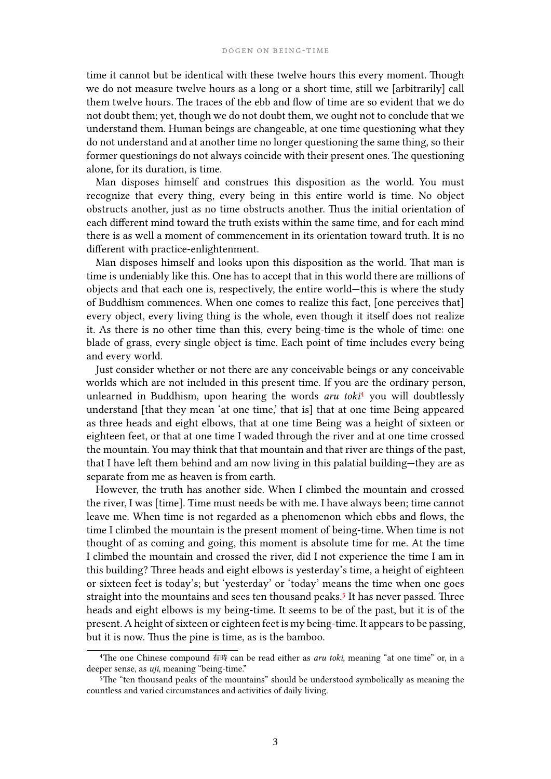time it cannot but be identical with these twelve hours this every moment. Though we do not measure twelve hours as a long or a short time, still we [arbitrarily] call them twelve hours. The traces of the ebb and flow of time are so evident that we do not doubt them; yet, though we do not doubt them, we ought not to conclude that we understand them. Human beings are changeable, at one time questioning what they do not understand and at another time no longer questioning the same thing, so their former questionings do not always coincide with their present ones. The questioning alone, for its duration, is time.

Man disposes himself and construes this disposition as the world. You must recognize that every thing, every being in this entire world is time. No object obstructs another, just as no time obstructs another. Thus the initial orientation of each different mind toward the truth exists within the same time, and for each mind there is as well a moment of commencement in its orientation toward truth. It is no different with practice-enlightenment.

Man disposes himself and looks upon this disposition as the world. That man is time is undeniably like this. One has to accept that in this world there are millions of objects and that each one is, respectively, the entire world—this is where the study of Buddhism commences. When one comes to realize this fact, [one perceives that] every object, every living thing is the whole, even though it itself does not realize it. As there is no other time than this, every being-time is the whole of time: one blade of grass, every single object is time. Each point of time includes every being and every world.

Just consider whether or not there are any conceivable beings or any conceivable worlds which are not included in this present time. If you are the ordinary person, unlearned in Buddhism, upon hearing the words *aru toki*<sup>4</sup> you will doubtlessly understand [that they mean 'at one time,' that is] that at one time Being appeared as three heads and eight elbows, that at one time Being was a height of sixteen or eighteen feet, or that at one time I waded through the river [an](#page-2-0)d at one time crossed the mountain. You may think that that mountain and that river are things of the past, that I have left them behind and am now living in this palatial building—they are as separate from me as heaven is from earth.

However, the truth has another side. When I climbed the mountain and crossed the river, I was [time]. Time must needs be with me. I have always been; time cannot leave me. When time is not regarded as a phenomenon which ebbs and flows, the time I climbed the mountain is the present moment of being-time. When time is not thought of as coming and going, this moment is absolute time for me. At the time I climbed the mountain and crossed the river, did I not experience the time I am in this building? Three heads and eight elbows is yesterday's time, a height of eighteen or sixteen feet is today's; but 'yesterday' or 'today' means the time when one goes straight into the mountains and sees ten thousand peaks.<sup>5</sup> It has never passed. Three heads and eight elbows is my being-time. It seems to be of the past, but it is of the present. A height of sixteen or eighteen feet is my being-time. It appears to be passing, but it is now. Thus the pine is time, as is the bamboo.

<sup>4</sup>The one Chinese compound 有時 can be read either as *aru toki*, meaning "at one time" or, in a deeper sense, as *uji*, meaning "being-time."

<span id="page-2-0"></span><sup>5</sup>The "ten thousand peaks of the mountains" should be understood symbolically as meaning the countless and varied circumstances and activities of daily living.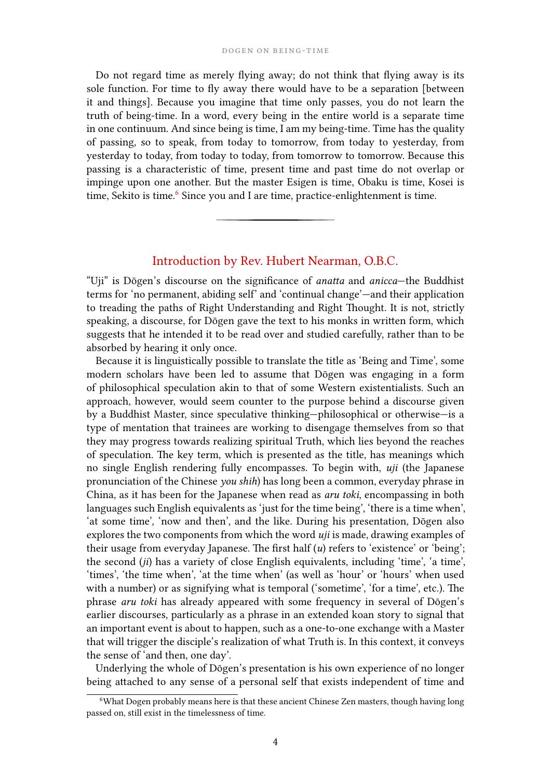Do not regard time as merely flying away; do not think that flying away is its sole function. For time to fly away there would have to be a separation [between it and things]. Because you imagine that time only passes, you do not learn the truth of being-time. In a word, every being in the entire world is a separate time in one continuum. And since being is time, I am my being-time. Time has the quality of passing, so to speak, from today to tomorrow, from today to yesterday, from yesterday to today, from today to today, from tomorrow to tomorrow. Because this passing is a characteristic of time, present time and past time do not overlap or impinge upon one another. But the master Esigen is time, Obaku is time, Kosei is time, Sekito is time.<sup>6</sup> Since you and I are time, practice-enlightenment is time.

#### Introduction by Rev. Hubert Nearman, O.B.C.

"Uji" is Dōgen's discourse on the significance of *anatta* and *anicca*—the Buddhist terms for 'no permanent, abiding self' and 'continual change'—and their application to treading the paths of Right Understanding and Right Thought. It is not, strictly speaking, a discourse, for Dōgen gave the text to his monks in written form, which suggests that he intended it to be read over and studied carefully, rather than to be absorbed by hearing it only once.

Because it is linguistically possible to translate the title as 'Being and Time', some modern scholars have been led to assume that Dōgen was engaging in a form of philosophical speculation akin to that of some Western existentialists. Such an approach, however, would seem counter to the purpose behind a discourse given by a Buddhist Master, since speculative thinking—philosophical or otherwise—is a type of mentation that trainees are working to disengage themselves from so that they may progress towards realizing spiritual Truth, which lies beyond the reaches of speculation. The key term, which is presented as the title, has meanings which no single English rendering fully encompasses. To begin with, *uji* (the Japanese pronunciation of the Chinese *you shih*) has long been a common, everyday phrase in China, as it has been for the Japanese when read as *aru toki*, encompassing in both languages such English equivalents as 'just for the time being', 'there is a time when', 'at some time', 'now and then', and the like. During his presentation, Dōgen also explores the two components from which the word *uji* is made, drawing examples of their usage from everyday Japanese. The first half (*u*) refers to 'existence' or 'being'; the second (*ji*) has a variety of close English equivalents, including 'time', 'a time', 'times', 'the time when', 'at the time when' (as well as 'hour' or 'hours' when used with a number) or as signifying what is temporal ('sometime', 'for a time', etc.). The phrase *aru toki* has already appeared with some frequency in several of Dōgen's earlier discourses, particularly as a phrase in an extended koan story to signal that an important event is about to happen, such as a one-to-one exchange with a Master that will trigger the disciple's realization of what Truth is. In this context, it conveys the sense of 'and then, one day'.

Underlying the whole of Dōgen's presentation is his own experience of no longer being attached to any sense of a personal self that exists independent of time and

<sup>6</sup>What Dogen probably means here is that these ancient Chinese Zen masters, though having long passed on, still exist in the timelessness of time.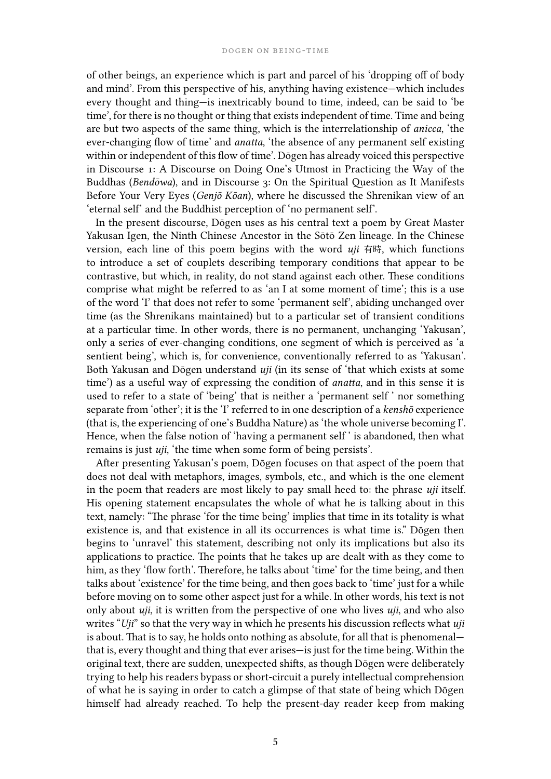of other beings, an experience which is part and parcel of his 'dropping off of body and mind'. From this perspective of his, anything having existence—which includes every thought and thing—is inextricably bound to time, indeed, can be said to 'be time', for there is no thought or thing that exists independent of time. Time and being are but two aspects of the same thing, which is the interrelationship of *anicca*, 'the ever-changing flow of time' and *anatta*, 'the absence of any permanent self existing within or independent of this flow of time'. Dōgen has already voiced this perspective in Discourse 1: A Discourse on Doing One's Utmost in Practicing the Way of the Buddhas (*Bendōwa*), and in Discourse 3: On the Spiritual Question as It Manifests Before Your Very Eyes (*Genjō Kōan*), where he discussed the Shrenikan view of an 'eternal self' and the Buddhist perception of 'no permanent self'.

In the present discourse, Dōgen uses as his central text a poem by Great Master Yakusan Igen, the Ninth Chinese Ancestor in the Sōtō Zen lineage. In the Chinese version, each line of this poem begins with the word *uji* 有時, which functions to introduce a set of couplets describing temporary conditions that appear to be contrastive, but which, in reality, do not stand against each other. These conditions comprise what might be referred to as 'an I at some moment of time'; this is a use of the word 'I' that does not refer to some 'permanent self', abiding unchanged over time (as the Shrenikans maintained) but to a particular set of transient conditions at a particular time. In other words, there is no permanent, unchanging 'Yakusan', only a series of ever-changing conditions, one segment of which is perceived as 'a sentient being', which is, for convenience, conventionally referred to as 'Yakusan'. Both Yakusan and Dōgen understand *uji* (in its sense of 'that which exists at some time') as a useful way of expressing the condition of *anatta*, and in this sense it is used to refer to a state of 'being' that is neither a 'permanent self ' nor something separate from 'other'; it is the 'I' referred to in one description of a *kenshō* experience (that is, the experiencing of one's Buddha Nature) as 'the whole universe becoming I'. Hence, when the false notion of 'having a permanent self ' is abandoned, then what remains is just *uji*, 'the time when some form of being persists'.

After presenting Yakusan's poem, Dōgen focuses on that aspect of the poem that does not deal with metaphors, images, symbols, etc., and which is the one element in the poem that readers are most likely to pay small heed to: the phrase *uji* itself. His opening statement encapsulates the whole of what he is talking about in this text, namely: "The phrase 'for the time being' implies that time in its totality is what existence is, and that existence in all its occurrences is what time is." Dōgen then begins to 'unravel' this statement, describing not only its implications but also its applications to practice. The points that he takes up are dealt with as they come to him, as they 'flow forth'. Therefore, he talks about 'time' for the time being, and then talks about 'existence' for the time being, and then goes back to 'time' just for a while before moving on to some other aspect just for a while. In other words, his text is not only about *uji*, it is written from the perspective of one who lives *uji*, and who also writes "*Uji*" so that the very way in which he presents his discussion reflects what *uji* is about. That is to say, he holds onto nothing as absolute, for all that is phenomenal that is, every thought and thing that ever arises—is just for the time being. Within the original text, there are sudden, unexpected shifts, as though Dōgen were deliberately trying to help his readers bypass or short-circuit a purely intellectual comprehension of what he is saying in order to catch a glimpse of that state of being which Dōgen himself had already reached. To help the present-day reader keep from making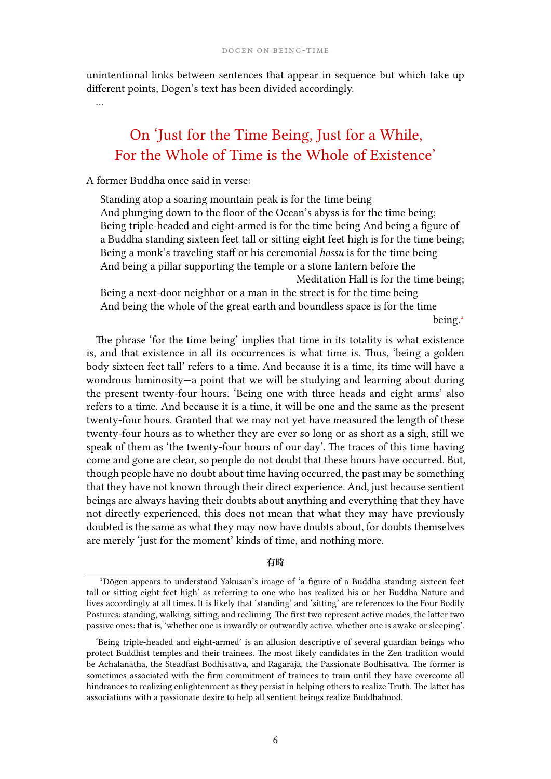unintentional links between sentences that appear in sequence but which take up different points, Dōgen's text has been divided accordingly.

…

## On 'Just for the Time Being, Just for a While, For the Whole of Time is the Whole of Existence'

#### A former Buddha once said in verse:

Standing atop a soaring mountain peak is for the time being And plunging down to the floor of the Ocean's abyss is for the time being; Being triple-headed and eight-armed is for the time being And being a figure of a Buddha standing sixteen feet tall or sitting eight feet high is for the time being; Being a monk's traveling staff or his ceremonial *hossu* is for the time being And being a pillar supporting the temple or a stone lantern before the Meditation Hall is for the time being; Being a next-door neighbor or a man in the street is for the time being And being the whole of the great earth and boundless space is for the time

being.<sup>1</sup>

The phrase 'for the time being' implies that time in its totality is what existence is, and that existence in all its occurrences is what time is. Thus, 'being a golden body sixteen feet tall' refers to a time. And because it is a time, its time will have [a](#page-5-0) wondrous luminosity—a point that we will be studying and learning about during the present twenty-four hours. 'Being one with three heads and eight arms' also refers to a time. And because it is a time, it will be one and the same as the present twenty-four hours. Granted that we may not yet have measured the length of these twenty-four hours as to whether they are ever so long or as short as a sigh, still we speak of them as 'the twenty-four hours of our day'. The traces of this time having come and gone are clear, so people do not doubt that these hours have occurred. But, though people have no doubt about time having occurred, the past may be something that they have not known through their direct experience. And, just because sentient beings are always having their doubts about anything and everything that they have not directly experienced, this does not mean that what they may have previously doubted is the same as what they may now have doubts about, for doubts themselves are merely 'just for the moment' kinds of time, and nothing more.

#### **有時**

<sup>1</sup>Dōgen appears to understand Yakusan's image of 'a figure of a Buddha standing sixteen feet tall or sitting eight feet high' as referring to one who has realized his or her Buddha Nature and lives accordingly at all times. It is likely that 'standing' and 'sitting' are references to the Four Bodily Postures: standing, walking, sitting, and reclining. The first two represent active modes, the latter two passive ones: that is, 'whether one is inwardly or outwardly active, whether one is awake or sleeping'.

<span id="page-5-0"></span><sup>&#</sup>x27;Being triple-headed and eight-armed' is an allusion descriptive of several guardian beings who protect Buddhist temples and their trainees. The most likely candidates in the Zen tradition would be Achalanātha, the Steadfast Bodhisattva, and Rāgarāja, the Passionate Bodhisattva. The former is sometimes associated with the firm commitment of trainees to train until they have overcome all hindrances to realizing enlightenment as they persist in helping others to realize Truth. The latter has associations with a passionate desire to help all sentient beings realize Buddhahood.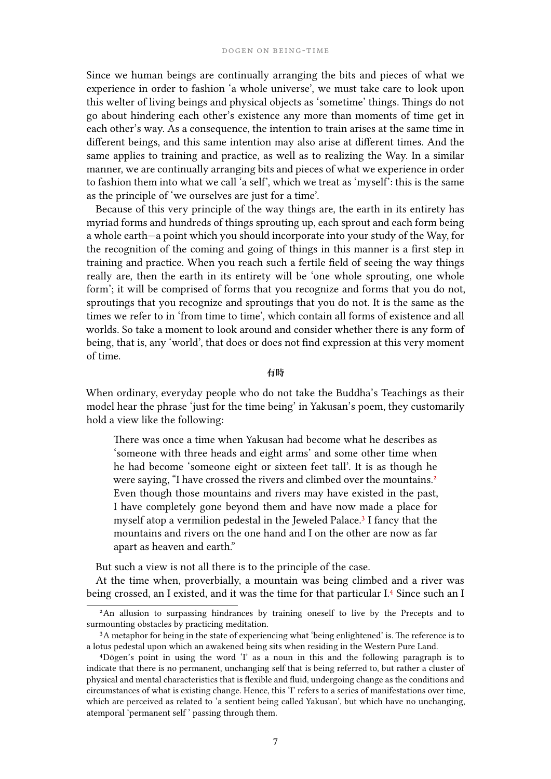Since we human beings are continually arranging the bits and pieces of what we experience in order to fashion 'a whole universe', we must take care to look upon this welter of living beings and physical objects as 'sometime' things. Things do not go about hindering each other's existence any more than moments of time get in each other's way. As a consequence, the intention to train arises at the same time in different beings, and this same intention may also arise at different times. And the same applies to training and practice, as well as to realizing the Way. In a similar manner, we are continually arranging bits and pieces of what we experience in order to fashion them into what we call 'a self', which we treat as 'myself': this is the same as the principle of 'we ourselves are just for a time'.

Because of this very principle of the way things are, the earth in its entirety has myriad forms and hundreds of things sprouting up, each sprout and each form being a whole earth—a point which you should incorporate into your study of the Way, for the recognition of the coming and going of things in this manner is a first step in training and practice. When you reach such a fertile field of seeing the way things really are, then the earth in its entirety will be 'one whole sprouting, one whole form'; it will be comprised of forms that you recognize and forms that you do not, sproutings that you recognize and sproutings that you do not. It is the same as the times we refer to in 'from time to time', which contain all forms of existence and all worlds. So take a moment to look around and consider whether there is any form of being, that is, any 'world', that does or does not find expression at this very moment of time.

#### **有時**

When ordinary, everyday people who do not take the Buddha's Teachings as their model hear the phrase 'just for the time being' in Yakusan's poem, they customarily hold a view like the following:

There was once a time when Yakusan had become what he describes as 'someone with three heads and eight arms' and some other time when he had become 'someone eight or sixteen feet tall'. It is as though he were saying, "I have crossed the rivers and climbed over the mountains.<sup>2</sup> Even though those mountains and rivers may have existed in the past, I have completely gone beyond them and have now made a place for mys[e](#page-6-0)lf atop a vermilion pedestal in the Jeweled Palace.<sup>3</sup> I fancy that the mountains and rivers on the one hand and I on the other are now as far apart as heaven and earth."

But such a view is not all there is to the principle of the ca[se](#page-6-1).

At the time when, proverbially, a mountain was being climbed and a river was being crossed, an I existed, and it was the time for that particular I.<sup>4</sup> Since such an I

<sup>&</sup>lt;sup>2</sup>An allusion to surpassing hindrances by training oneself to live by the Precepts and to surmounting obstacles by practicing meditation.

<sup>&</sup>lt;sup>3</sup>Ametaphor for being in the state of experiencing what 'being enlightened' i[s.](#page-6-2) The reference is to a lotus pedestal upon which an awakened being sits when residing in the Western Pure Land.

<span id="page-6-2"></span><span id="page-6-1"></span><span id="page-6-0"></span><sup>4</sup>Dōgen's point in using the word 'I' as a noun in this and the following paragraph is to indicate that there is no permanent, unchanging self that is being referred to, but rather a cluster of physical and mental characteristics that is flexible and fluid, undergoing change as the conditions and circumstances of what is existing change. Hence, this 'I' refers to a series of manifestations over time, which are perceived as related to 'a sentient being called Yakusan', but which have no unchanging, atemporal 'permanent self ' passing through them.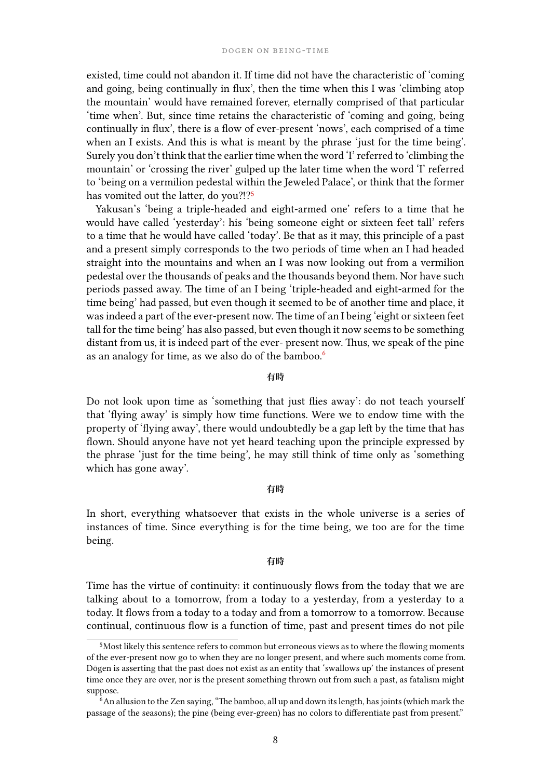existed, time could not abandon it. If time did not have the characteristic of 'coming and going, being continually in flux', then the time when this I was 'climbing atop the mountain' would have remained forever, eternally comprised of that particular 'time when'. But, since time retains the characteristic of 'coming and going, being continually in flux', there is a flow of ever-present 'nows', each comprised of a time when an I exists. And this is what is meant by the phrase 'just for the time being'. Surely you don't think that the earlier time when the word 'I' referred to 'climbing the mountain' or 'crossing the river' gulped up the later time when the word 'I' referred to 'being on a vermilion pedestal within the Jeweled Palace', or think that the former has vomited out the latter, do you?!?<sup>5</sup>

Yakusan's 'being a triple-headed and eight-armed one' refers to a time that he would have called 'yesterday': his 'being someone eight or sixteen feet tall' refers to a time that he would have called'[to](#page-7-0)day'. Be that as it may, this principle of a past and a present simply corresponds to the two periods of time when an I had headed straight into the mountains and when an I was now looking out from a vermilion pedestal over the thousands of peaks and the thousands beyond them. Nor have such periods passed away. The time of an I being 'triple-headed and eight-armed for the time being' had passed, but even though it seemed to be of another time and place, it was indeed a part of the ever-present now. The time of an I being 'eight or sixteen feet tall for the time being' has also passed, but even though it now seems to be something distant from us, it is indeed part of the ever- present now. Thus, we speak of the pine as an analogy for time, as we also do of the bamboo.<sup>6</sup>

#### **有時**

Do not look upon time as 'something that just fli[es](#page-7-1) away': do not teach yourself that 'flying away' is simply how time functions. Were we to endow time with the property of 'flying away', there would undoubtedly be a gap left by the time that has flown. Should anyone have not yet heard teaching upon the principle expressed by the phrase 'just for the time being', he may still think of time only as 'something which has gone away'.

#### **有時**

In short, everything whatsoever that exists in the whole universe is a series of instances of time. Since everything is for the time being, we too are for the time being.

#### **有時**

Time has the virtue of continuity: it continuously flows from the today that we are talking about to a tomorrow, from a today to a yesterday, from a yesterday to a today. It flows from a today to a today and from a tomorrow to a tomorrow. Because continual, continuous flow is a function of time, past and present times do not pile

<sup>5</sup>Most likely this sentence refers to common but erroneous views as to where the flowing moments of the ever-present now go to when they are no longer present, and where such moments come from. Dōgen is asserting that the past does not exist as an entity that 'swallows up' the instances of present time once they are over, nor is the present something thrown out from such a past, as fatalism might suppose.

<span id="page-7-1"></span><span id="page-7-0"></span><sup>&</sup>lt;sup>6</sup>An allusion to the Zen saying, "The bamboo, all up and down its length, has joints (which mark the passage of the seasons); the pine (being ever-green) has no colors to differentiate past from present."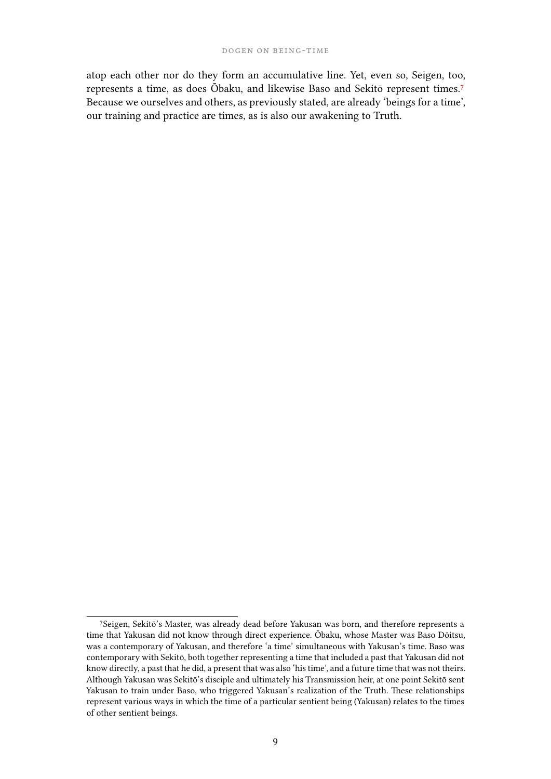atop each other nor do they form an accumulative line. Yet, even so, Seigen, too, represents a time, as does Ōbaku, and likewise Baso and Sekitō represent times.<sup>7</sup> Because we ourselves and others, as previously stated, are already 'beings for a time', our training and practice are times, as is also our awakening to Truth.

<sup>7</sup>Seigen, Sekitō's Master, was already dead before Yakusan was born, and therefore represents a time that Yakusan did not know through direct experience. Ōbaku, whose Master was Baso Dōitsu, was a contemporary of Yakusan, and therefore 'a time' simultaneous with Yakusan's time. Baso was contemporary with Sekitō, both together representing a time that included a past that Yakusan did not know directly, a past that he did, a present that was also 'his time', and a future time that was not theirs. Although Yakusan was Sekitō's disciple and ultimately his Transmission heir, at one point Sekitō sent Yakusan to train under Baso, who triggered Yakusan's realization of the Truth. These relationships represent various ways in which the time of a particular sentient being (Yakusan) relates to the times of other sentient beings.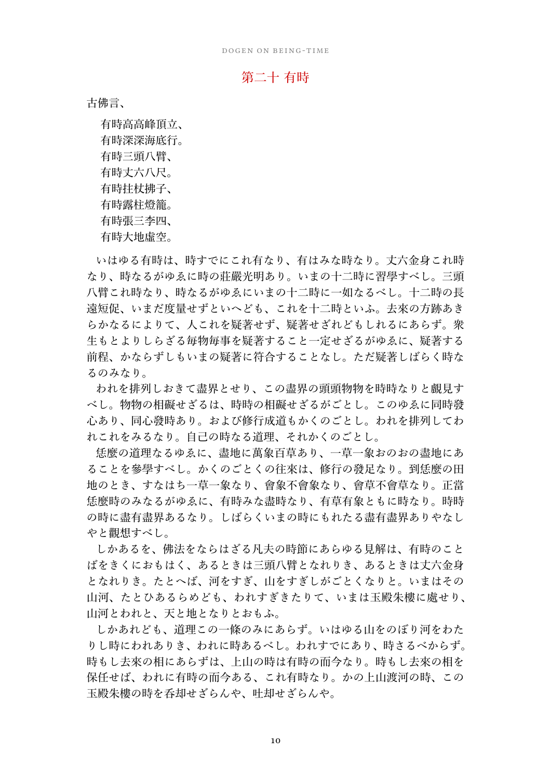### 第二十 有時

古佛言、

有時高高峰頂立、 有時深深海底行。 有時三頭八臂、 有時丈六八尺。 有時柱杖拂子、 有時露柱燈籠。 有時張三李四、 有時大地虛空。

いはゆる有時は、時すでにこれ有なり、有はみな時なり。丈六金身これ時 なり、時なるがゆゑに時の莊嚴光明あり。いまの十二時に習學すべし。三頭 八臂これ時なり、時なるがゆゑにいまの十二時に一如なるべし。十二時の長 遠短促、いまだ度量せずといへども、これを十二時といふ。去來の方跡あき らかなるによりて、人これを疑著せず、疑著せざれどもしれるにあらず。衆 生もとよりしらざる毎物毎事を疑著すること一定せざるがゆゑに、疑著する 前程、かならずしもいまの疑著に符合することなし。ただ疑著しばらく時な るのみなり。

われを排列しおきて盡界とせり、この盡界の頭頭物物を時時なりと䣥見す べし。物物の相礙せざるは、時時の相礙せざるがごとし。このゆゑに同時發 心あり、同心發時あり。および修行成道もかくのごとし。われを排列してわ れこれをみるなり。自己の時なる道理、それかくのごとし。

恁麼の道理なるゆゑに、盡地に萬象百草あり、一草一象おのおの盡地にあ ることを參學すべし。かくのごとくの往來は、修行の發足なり。到恁麼の田 地のとき、すなはち一草一象なり、會象不會象なり、會草不會草なり。正當 恁麼時のみなるがゆゑに、有時みな盡時なり、有草有象ともに時なり。時時 の時に盡有盡界あるなり。しばらくいまの時にもれたる盡有盡界ありやなし やと觀想すべし。

しかあるを、佛法をならはざる凡夫の時節にあらゆる見解は、有時のこと ばをきくにおもはく、あるときは三頭八臂となれりき、あるときは丈六金身 となれりき。たとへば、河をすぎ、山をすぎしがごとくなりと。いまはその 山河、たとひあるらめども、われすぎきたりて、いまは玉殿朱樓に處せり、 山河とわれと、天と地となりとおもふ。

しかあれども、道理この一條のみにあらず。いはゆる山をのぼり河をわた りし時にわれありき、われに時あるべし。われすでにあり、時さるべからず。 時もし去來の相にあらずは、上山の時は有時の而今なり。時もし去來の相を 保任せば、われに有時の而今ある、これ有時なり。かの上山渡河の時、この 玉殿朱樓の時を呑却せざらんや、吐却せざらんや。